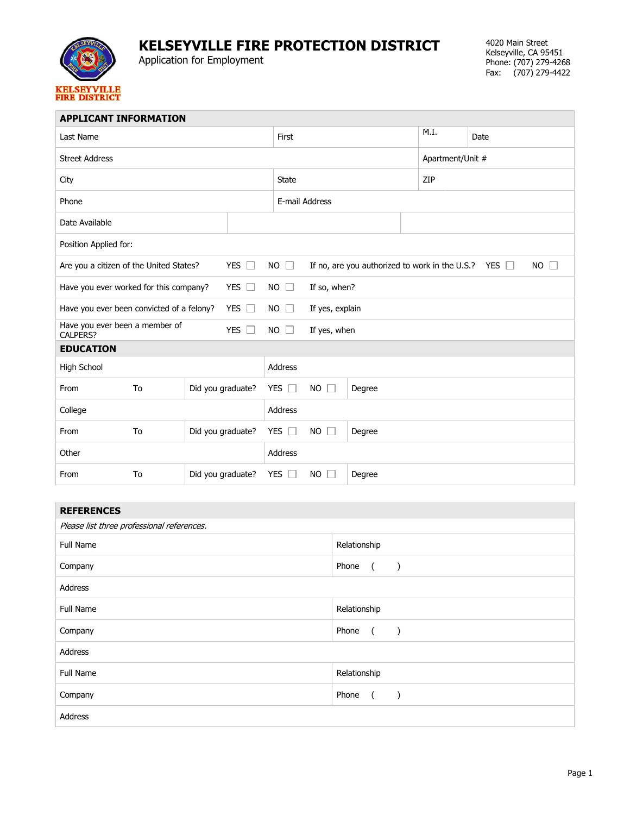

## **KELSEYVILLE FIRE PROTECTION DISTRICT**

Application for Employment

| <b>APPLICANT INFORMATION</b>                                    |    |                   |             |                             |                                                                          |        |      |                  |  |  |
|-----------------------------------------------------------------|----|-------------------|-------------|-----------------------------|--------------------------------------------------------------------------|--------|------|------------------|--|--|
| Last Name                                                       |    |                   |             | First                       |                                                                          |        | M.I. | Date             |  |  |
| <b>Street Address</b>                                           |    |                   |             |                             |                                                                          |        |      | Apartment/Unit # |  |  |
| City                                                            |    |                   |             | <b>State</b>                |                                                                          |        | ZIP  |                  |  |  |
| Phone                                                           |    |                   |             | E-mail Address              |                                                                          |        |      |                  |  |  |
| Date Available                                                  |    |                   |             |                             |                                                                          |        |      |                  |  |  |
| Position Applied for:                                           |    |                   |             |                             |                                                                          |        |      |                  |  |  |
| YES $\Box$<br>Are you a citizen of the United States?           |    |                   |             | <b>NO</b><br>$\mathbb{R}$   | If no, are you authorized to work in the U.S.? YES $\Box$<br>$NO$ $\Box$ |        |      |                  |  |  |
| YES $\square$<br>Have you ever worked for this company?         |    |                   |             | $NO$ $\Box$                 | If so, when?                                                             |        |      |                  |  |  |
| YES $\Box$<br>Have you ever been convicted of a felony?         |    |                   | $NO$ $\Box$ | If yes, explain             |                                                                          |        |      |                  |  |  |
| Have you ever been a member of<br>YES $\Box$<br><b>CALPERS?</b> |    |                   | $NO$ $\Box$ | If yes, when                |                                                                          |        |      |                  |  |  |
| <b>EDUCATION</b>                                                |    |                   |             |                             |                                                                          |        |      |                  |  |  |
| High School                                                     |    |                   | Address     |                             |                                                                          |        |      |                  |  |  |
| From                                                            | To | Did you graduate? |             | <b>YES</b><br>$\mathcal{A}$ | <b>NO</b><br>П<br>Degree                                                 |        |      |                  |  |  |
| College                                                         |    |                   | Address     |                             |                                                                          |        |      |                  |  |  |
| From                                                            | To | Did you graduate? |             | YES                         | <b>NO</b><br>□                                                           | Degree |      |                  |  |  |
| Other                                                           |    |                   |             | Address                     |                                                                          |        |      |                  |  |  |
| From                                                            | To | Did you graduate? |             | <b>YES</b>                  | <b>NO</b>                                                                | Degree |      |                  |  |  |
|                                                                 |    |                   |             |                             |                                                                          |        |      |                  |  |  |

| <b>REFERENCES</b>                          |                                                                          |  |  |  |  |  |
|--------------------------------------------|--------------------------------------------------------------------------|--|--|--|--|--|
| Please list three professional references. |                                                                          |  |  |  |  |  |
| Full Name                                  | Relationship                                                             |  |  |  |  |  |
| Company                                    | Phone<br>$\overline{a}$<br>$\left( \begin{array}{c} \end{array} \right)$ |  |  |  |  |  |
| Address                                    |                                                                          |  |  |  |  |  |
| Full Name                                  | Relationship                                                             |  |  |  |  |  |
| Company                                    | Phone<br>$\overline{a}$<br>$\left( \begin{array}{c} \end{array} \right)$ |  |  |  |  |  |
| Address                                    |                                                                          |  |  |  |  |  |
| Full Name                                  | Relationship                                                             |  |  |  |  |  |
| Company                                    | Phone<br>$\overline{a}$<br>$\rightarrow$                                 |  |  |  |  |  |
| Address                                    |                                                                          |  |  |  |  |  |